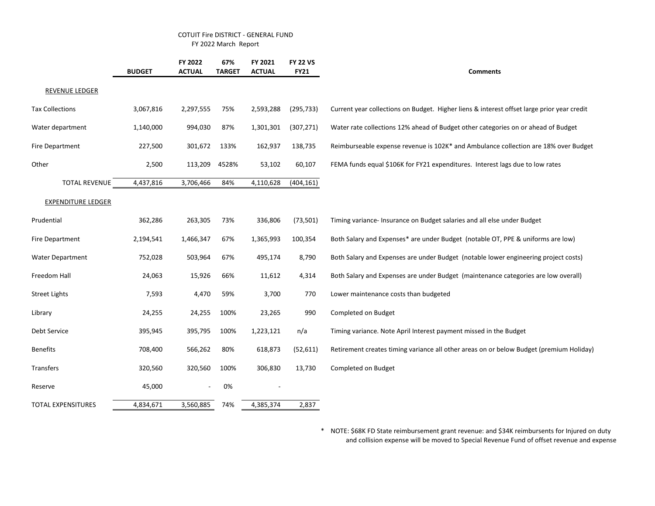## COTUIT Fire DISTRICT - GENERAL FUND FY 2022 March Report

|                           | <b>BUDGET</b> | FY 2022<br><b>ACTUAL</b> | 67%<br><b>TARGET</b> | FY 2021<br><b>ACTUAL</b> | <b>FY 22 VS</b><br><b>FY21</b> | <b>Comments</b>                                                                            |
|---------------------------|---------------|--------------------------|----------------------|--------------------------|--------------------------------|--------------------------------------------------------------------------------------------|
| <b>REVENUE LEDGER</b>     |               |                          |                      |                          |                                |                                                                                            |
| <b>Tax Collections</b>    | 3,067,816     | 2,297,555                | 75%                  | 2,593,288                | (295, 733)                     | Current year collections on Budget. Higher liens & interest offset large prior year credit |
| Water department          | 1,140,000     | 994,030                  | 87%                  | 1,301,301                | (307, 271)                     | Water rate collections 12% ahead of Budget other categories on or ahead of Budget          |
| <b>Fire Department</b>    | 227,500       | 301,672                  | 133%                 | 162,937                  | 138,735                        | Reimburseable expense revenue is 102K* and Ambulance collection are 18% over Budget        |
| Other                     | 2,500         | 113,209                  | 4528%                | 53,102                   | 60,107                         | FEMA funds equal \$106K for FY21 expenditures. Interest lags due to low rates              |
| <b>TOTAL REVENUE</b>      | 4,437,816     | 3,706,466                | 84%                  | 4,110,628                | (404, 161)                     |                                                                                            |
| <b>EXPENDITURE LEDGER</b> |               |                          |                      |                          |                                |                                                                                            |
| Prudential                | 362,286       | 263,305                  | 73%                  | 336,806                  | (73, 501)                      | Timing variance- Insurance on Budget salaries and all else under Budget                    |
| <b>Fire Department</b>    | 2,194,541     | 1,466,347                | 67%                  | 1,365,993                | 100,354                        | Both Salary and Expenses* are under Budget (notable OT, PPE & uniforms are low)            |
| <b>Water Department</b>   | 752,028       | 503,964                  | 67%                  | 495,174                  | 8,790                          | Both Salary and Expenses are under Budget (notable lower engineering project costs)        |
| Freedom Hall              | 24,063        | 15,926                   | 66%                  | 11,612                   | 4,314                          | Both Salary and Expenses are under Budget (maintenance categories are low overall)         |
| <b>Street Lights</b>      | 7,593         | 4,470                    | 59%                  | 3,700                    | 770                            | Lower maintenance costs than budgeted                                                      |
| Library                   | 24,255        | 24,255                   | 100%                 | 23,265                   | 990                            | Completed on Budget                                                                        |
| Debt Service              | 395,945       | 395,795                  | 100%                 | 1,223,121                | n/a                            | Timing variance. Note April Interest payment missed in the Budget                          |
| <b>Benefits</b>           | 708,400       | 566,262                  | 80%                  | 618,873                  | (52, 611)                      | Retirement creates timing variance all other areas on or below Budget (premium Holiday)    |
| Transfers                 | 320,560       | 320,560                  | 100%                 | 306,830                  | 13,730                         | Completed on Budget                                                                        |
| Reserve                   | 45,000        |                          | 0%                   |                          |                                |                                                                                            |
| <b>TOTAL EXPENSITURES</b> | 4,834,671     | 3,560,885                | 74%                  | 4,385,374                | 2,837                          |                                                                                            |

\* NOTE: \$68K FD State reimbursement grant revenue: and \$34K reimbursents for Injured on duty and collision expense will be moved to Special Revenue Fund of offset revenue and expense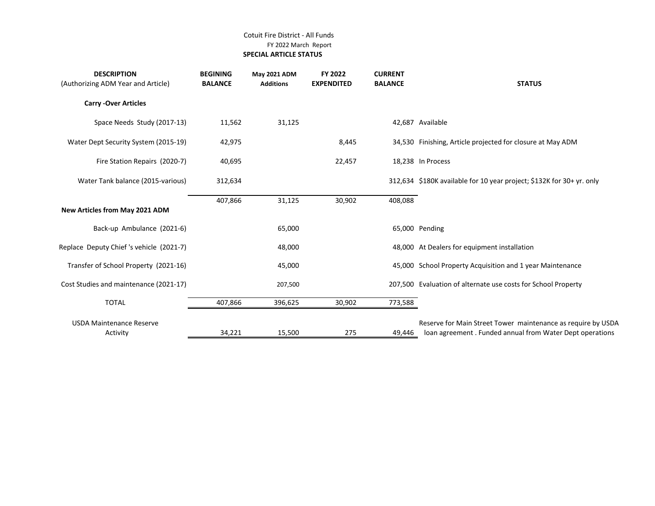## Cotuit Fire District - All Funds FY 2022 March Report  **SPECIAL ARTICLE STATUS**

| <b>DESCRIPTION</b><br>(Authorizing ADM Year and Article) | <b>BEGINING</b><br><b>BALANCE</b> | May 2021 ADM<br><b>Additions</b> | FY 2022<br><b>EXPENDITED</b> | <b>CURRENT</b><br><b>BALANCE</b> | <b>STATUS</b>                                                                                                            |
|----------------------------------------------------------|-----------------------------------|----------------------------------|------------------------------|----------------------------------|--------------------------------------------------------------------------------------------------------------------------|
| <b>Carry -Over Articles</b>                              |                                   |                                  |                              |                                  |                                                                                                                          |
| Space Needs Study (2017-13)                              | 11,562                            | 31,125                           |                              |                                  | 42,687 Available                                                                                                         |
| Water Dept Security System (2015-19)                     | 42,975                            |                                  | 8,445                        |                                  | 34,530 Finishing, Article projected for closure at May ADM                                                               |
| Fire Station Repairs (2020-7)                            | 40,695                            |                                  | 22,457                       |                                  | 18,238 In Process                                                                                                        |
| Water Tank balance (2015-various)                        | 312,634                           |                                  |                              |                                  | 312,634 \$180K available for 10 year project; \$132K for 30+ yr. only                                                    |
| New Articles from May 2021 ADM                           | 407,866                           | 31,125                           | 30,902                       | 408,088                          |                                                                                                                          |
| Back-up Ambulance (2021-6)                               |                                   | 65,000                           |                              |                                  | 65,000 Pending                                                                                                           |
| Replace Deputy Chief 's vehicle (2021-7)                 |                                   | 48,000                           |                              |                                  | 48,000 At Dealers for equipment installation                                                                             |
| Transfer of School Property (2021-16)                    |                                   | 45,000                           |                              |                                  | 45,000 School Property Acquisition and 1 year Maintenance                                                                |
| Cost Studies and maintenance (2021-17)                   |                                   | 207,500                          |                              |                                  | 207,500 Evaluation of alternate use costs for School Property                                                            |
| <b>TOTAL</b>                                             | 407,866                           | 396,625                          | 30,902                       | 773,588                          |                                                                                                                          |
| <b>USDA Maintenance Reserve</b><br>Activity              | 34,221                            | 15,500                           | 275                          | 49,446                           | Reserve for Main Street Tower maintenance as require by USDA<br>loan agreement. Funded annual from Water Dept operations |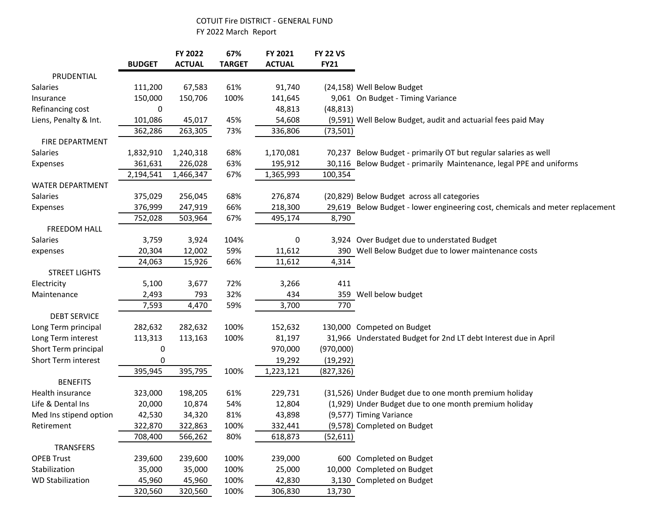## COTUIT Fire DISTRICT - GENERAL FUND FY 2022 March Report

|                         | <b>BUDGET</b> | FY 2022<br><b>ACTUAL</b> | 67%<br><b>TARGET</b> | FY 2021<br><b>ACTUAL</b> | <b>FY 22 VS</b><br><b>FY21</b> |                                                                               |
|-------------------------|---------------|--------------------------|----------------------|--------------------------|--------------------------------|-------------------------------------------------------------------------------|
| PRUDENTIAL              |               |                          |                      |                          |                                |                                                                               |
| Salaries                | 111,200       | 67,583                   | 61%                  | 91,740                   |                                | (24,158) Well Below Budget                                                    |
| Insurance               | 150,000       | 150,706                  | 100%                 | 141,645                  |                                | 9,061 On Budget - Timing Variance                                             |
| Refinancing cost        | 0             |                          |                      | 48,813                   | (48, 813)                      |                                                                               |
| Liens, Penalty & Int.   | 101,086       | 45,017                   | 45%                  | 54,608                   |                                | (9,591) Well Below Budget, audit and actuarial fees paid May                  |
|                         | 362,286       | 263,305                  | 73%                  | 336,806                  | (73, 501)                      |                                                                               |
| FIRE DEPARTMENT         |               |                          |                      |                          |                                |                                                                               |
| Salaries                | 1,832,910     | 1,240,318                | 68%                  | 1,170,081                |                                | 70,237 Below Budget - primarily OT but regular salaries as well               |
| Expenses                | 361,631       | 226,028                  | 63%                  | 195,912                  |                                | 30,116 Below Budget - primarily Maintenance, legal PPE and uniforms           |
|                         | 2,194,541     | 1,466,347                | 67%                  | 1,365,993                | 100,354                        |                                                                               |
| <b>WATER DEPARTMENT</b> |               |                          |                      |                          |                                |                                                                               |
| Salaries                | 375,029       | 256,045                  | 68%                  | 276,874                  |                                | (20,829) Below Budget across all categories                                   |
| Expenses                | 376,999       | 247,919                  | 66%                  | 218,300                  |                                | 29,619 Below Budget - lower engineering cost, chemicals and meter replacement |
|                         | 752,028       | 503,964                  | 67%                  | 495,174                  | 8,790                          |                                                                               |
| <b>FREEDOM HALL</b>     |               |                          |                      |                          |                                |                                                                               |
| Salaries                | 3,759         | 3,924                    | 104%                 | 0                        |                                | 3,924 Over Budget due to understated Budget                                   |
| expenses                | 20,304        | 12,002                   | 59%                  | 11,612                   |                                | 390 Well Below Budget due to lower maintenance costs                          |
|                         | 24,063        | 15,926                   | 66%                  | 11,612                   | 4,314                          |                                                                               |
| <b>STREET LIGHTS</b>    |               |                          |                      |                          |                                |                                                                               |
| Electricity             | 5,100         | 3,677                    | 72%                  | 3,266                    | 411                            |                                                                               |
| Maintenance             | 2,493         | 793                      | 32%                  | 434                      |                                | 359 Well below budget                                                         |
|                         | 7,593         | 4,470                    | 59%                  | 3,700                    | 770                            |                                                                               |
| <b>DEBT SERVICE</b>     |               |                          |                      |                          |                                |                                                                               |
| Long Term principal     | 282,632       | 282,632                  | 100%                 | 152,632                  |                                | 130,000 Competed on Budget                                                    |
| Long Term interest      | 113,313       | 113,163                  | 100%                 | 81,197                   |                                | 31,966 Understated Budget for 2nd LT debt Interest due in April               |
| Short Term principal    | 0             |                          |                      | 970,000                  | (970,000)                      |                                                                               |
| Short Term interest     | 0             |                          |                      | 19,292                   | (19, 292)                      |                                                                               |
|                         | 395,945       | 395,795                  | 100%                 | 1,223,121                | (827, 326)                     |                                                                               |
| <b>BENEFITS</b>         |               |                          |                      |                          |                                |                                                                               |
| Health insurance        | 323,000       | 198,205                  | 61%                  | 229,731                  |                                | (31,526) Under Budget due to one month premium holiday                        |
| Life & Dental Ins       | 20,000        | 10,874                   | 54%                  | 12,804                   |                                | (1,929) Under Budget due to one month premium holiday                         |
| Med Ins stipend option  | 42,530        | 34,320                   | 81%                  | 43,898                   |                                | (9,577) Timing Variance                                                       |
| Retirement              | 322,870       | 322,863                  | 100%                 | 332,441                  |                                | (9,578) Completed on Budget                                                   |
|                         | 708,400       | 566,262                  | 80%                  | 618,873                  | (52, 611)                      |                                                                               |
| <b>TRANSFERS</b>        |               |                          |                      |                          |                                |                                                                               |
| <b>OPEB Trust</b>       | 239,600       | 239,600                  | 100%                 | 239,000                  |                                | 600 Completed on Budget                                                       |
| Stabilization           | 35,000        | 35,000                   | 100%                 | 25,000                   |                                | 10,000 Completed on Budget                                                    |
| <b>WD Stabilization</b> | 45,960        | 45,960                   | 100%                 | 42,830                   |                                | 3,130 Completed on Budget                                                     |
|                         | 320,560       | 320,560                  | 100%                 | 306,830                  | 13,730                         |                                                                               |